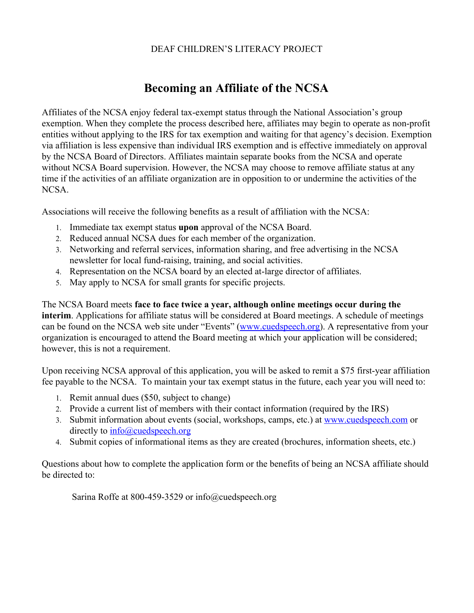## DEAF CHILDREN'S LITERACY PROJECT

## **Becoming an Affiliate of the NCSA**

Affiliates of the NCSA enjoy federal tax-exempt status through the National Association's group exemption. When they complete the process described here, affiliates may begin to operate as non-profit entities without applying to the IRS for tax exemption and waiting for that agency's decision. Exemption via affiliation is less expensive than individual IRS exemption and is effective immediately on approval by the NCSA Board of Directors. Affiliates maintain separate books from the NCSA and operate without NCSA Board supervision. However, the NCSA may choose to remove affiliate status at any time if the activities of an affiliate organization are in opposition to or undermine the activities of the NCSA.

Associations will receive the following benefits as a result of affiliation with the NCSA:

- 1. Immediate tax exempt status **upon**approval of the NCSA Board.
- 2. Reduced annual NCSA dues for each member of the organization.
- 3. Networking and referral services, information sharing, and free advertising in the NCSA newsletter for local fund-raising, training, and social activities.
- 4. Representation on the NCSA board by an elected atlarge director of affiliates.
- 5. May apply to NCSA for small grants for specific projects.

The NCSA Board meets **face to face twice a year, although online meetings occur during the interim**. Applications for affiliate status will be considered at Board meetings. A schedule of meetings can be found on the NCSA web site under "Events" ([www.cuedspeech.org](http://www.cuedspeech.org/)). A representative from your organization is encouraged to attend the Board meeting at which your application will be considered; however, this is not a requirement.

Upon receiving NCSA approval of this application, you will be asked to remit a \$75 first-year affiliation fee payable to the NCSA. To maintain your tax exempt status in the future, each year you will need to:

- 1. Remit annual dues (\$50, subject to change)
- 2. Provide a current list of members with their contact information (required by the IRS)
- 3. Submit information about events (social, workshops, camps, etc.) at [www.cuedspeech.com](http://www.cuedspeech.com/) or directly to [info@cuedspeech.org](mailto:info@cuedspeech.org)
- 4. Submit copies of informational items as they are created (brochures, information sheets, etc.)

Questions about how to complete the application form or the benefits of being an NCSA affiliate should be directed to:

Sarina Roffe at 800-459-3529 or info@cuedspeech.org